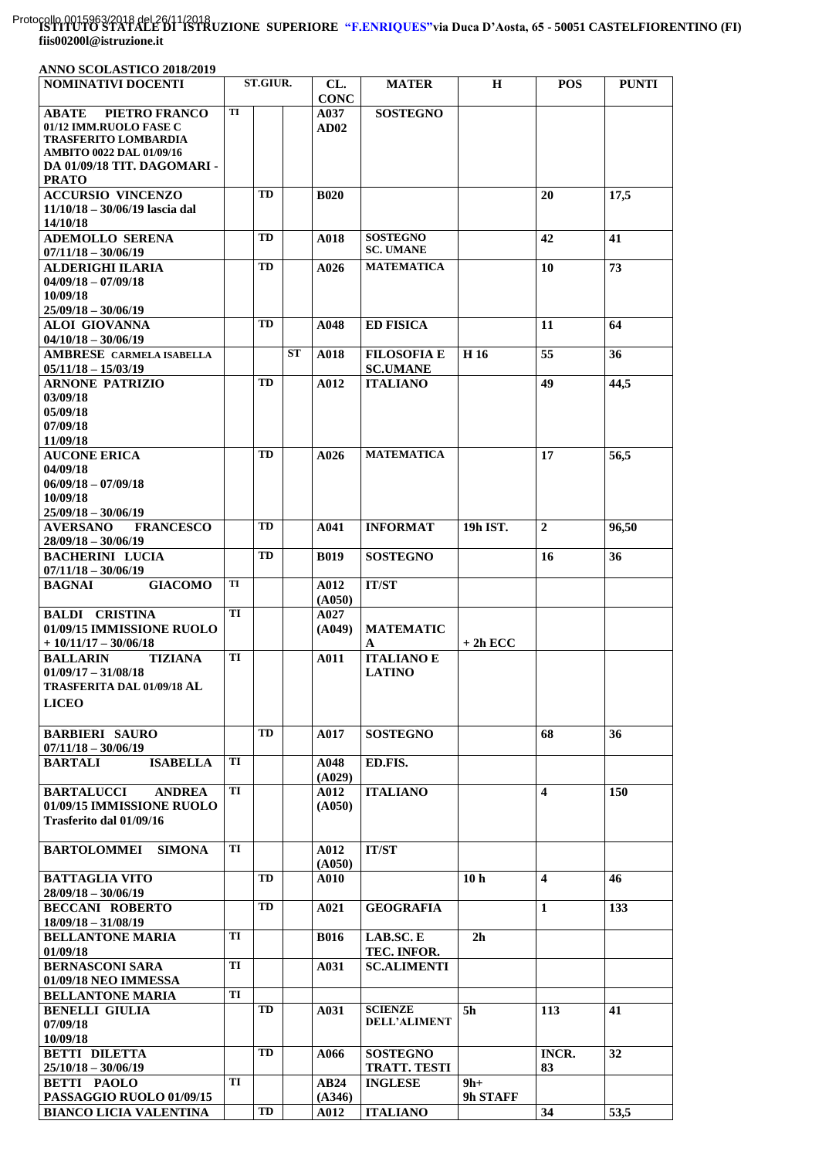## **ISTITUTO STATALE DI ISTRUZIONE SUPERIORE "F.ENRIQUES"via Duca D'Aosta, 65 - 50051 CASTELFIORENTINO (FI)**  Protocollo 0015963/2018 del 26/11/2018**fiis00200l@istruzione.it**

| ANNO SCOLASTICO 2018/2019                                                                                                                                |    |                 |           |                    |                                       |                   |                  |              |
|----------------------------------------------------------------------------------------------------------------------------------------------------------|----|-----------------|-----------|--------------------|---------------------------------------|-------------------|------------------|--------------|
| <b>NOMINATIVI DOCENTI</b>                                                                                                                                |    | <b>ST.GIUR.</b> |           | CL.<br><b>CONC</b> | <b>MATER</b>                          | $\bf H$           | <b>POS</b>       | <b>PUNTI</b> |
| PIETRO FRANCO<br><b>ABATE</b><br>01/12 IMM.RUOLO FASE C<br><b>TRASFERITO LOMBARDIA</b><br><b>AMBITO 0022 DAL 01/09/16</b><br>DA 01/09/18 TIT. DAGOMARI - | TI |                 |           | A037<br>AD02       | <b>SOSTEGNO</b>                       |                   |                  |              |
| <b>PRATO</b><br><b>ACCURSIO VINCENZO</b><br>$11/10/18 - 30/06/19$ lascia dal                                                                             |    | TD              |           | <b>B020</b>        |                                       |                   | 20               | 17,5         |
| 14/10/18<br><b>ADEMOLLO SERENA</b><br>$07/11/18 - 30/06/19$                                                                                              |    | TD              |           | A018               | <b>SOSTEGNO</b><br><b>SC. UMANE</b>   |                   | 42               | 41           |
| <b>ALDERIGHI ILARIA</b><br>$04/09/18 - 07/09/18$<br>10/09/18                                                                                             |    | TD              |           | A026               | <b>MATEMATICA</b>                     |                   | 10               | 73           |
| $25/09/18 - 30/06/19$<br><b>ALOI GIOVANNA</b>                                                                                                            |    | TD              |           | A048               | <b>ED FISICA</b>                      |                   | 11               | 64           |
| $04/10/18 - 30/06/19$<br>AMBRESE CARMELA ISABELLA<br>$05/11/18 - 15/03/19$                                                                               |    |                 | <b>ST</b> | A018               | <b>FILOSOFIA E</b><br><b>SC.UMANE</b> | H <sub>16</sub>   | 55               | 36           |
| <b>ARNONE PATRIZIO</b><br>03/09/18<br>05/09/18<br>07/09/18                                                                                               |    | TD              |           | A012               | <b>ITALIANO</b>                       |                   | 49               | 44,5         |
| 11/09/18<br><b>AUCONE ERICA</b><br>04/09/18<br>$06/09/18 - 07/09/18$<br>10/09/18<br>$25/09/18 - 30/06/19$                                                |    | TD              |           | A026               | <b>MATEMATICA</b>                     |                   | 17               | 56,5         |
| <b>AVERSANO</b><br><b>FRANCESCO</b><br>$28/09/18 - 30/06/19$                                                                                             |    | TD              |           | A041               | <b>INFORMAT</b>                       | 19h IST.          | $\boldsymbol{2}$ | 96,50        |
| <b>BACHERINI LUCIA</b><br>$07/11/18 - 30/06/19$                                                                                                          |    | TD              |           | <b>B019</b>        | <b>SOSTEGNO</b>                       |                   | 16               | 36           |
| <b>GIACOMO</b><br><b>BAGNAI</b>                                                                                                                          | TI |                 |           | A012<br>(A050)     | <b>IT/ST</b>                          |                   |                  |              |
| <b>BALDI CRISTINA</b><br>01/09/15 IMMISSIONE RUOLO<br>$+10/11/17-30/06/18$                                                                               | TI |                 |           | A027<br>(A049)     | <b>MATEMATIC</b><br>A                 | $+2h$ ECC         |                  |              |
| <b>BALLARIN</b><br><b>TIZIANA</b><br>$01/09/17 - 31/08/18$<br><b>TRASFERITA DAL 01/09/18 AL</b><br><b>LICEO</b>                                          | TI |                 |           | A011               | <b>ITALIANO E</b><br><b>LATINO</b>    |                   |                  |              |
| <b>BARBIERI SAURO</b><br>$07/11/18 - 30/06/19$                                                                                                           |    | TD              |           | A017               | <b>SOSTEGNO</b>                       |                   | 68               | 36           |
| <b>BARTALI</b><br><b>ISABELLA</b>                                                                                                                        | TI |                 |           | A048<br>(A029)     | ED.FIS.                               |                   |                  |              |
| <b>BARTALUCCI</b><br><b>ANDREA</b><br>01/09/15 IMMISSIONE RUOLO<br>Trasferito dal 01/09/16                                                               | TI |                 |           | A012<br>(A050)     | <b>ITALIANO</b>                       |                   | 4                | 150          |
| <b>BARTOLOMMEI</b><br><b>SIMONA</b>                                                                                                                      | TI |                 |           | A012<br>(A050)     | <b>IT/ST</b>                          |                   |                  |              |
| <b>BATTAGLIA VITO</b><br>$28/09/18 - 30/06/19$                                                                                                           |    | TD              |           | A010               |                                       | 10 <sub>h</sub>   | 4                | 46           |
| <b>BECCANI ROBERTO</b><br>$18/09/18 - 31/08/19$                                                                                                          |    | TD              |           | A021               | <b>GEOGRAFIA</b>                      |                   | 1                | 133          |
| <b>BELLANTONE MARIA</b><br>01/09/18                                                                                                                      | TI |                 |           | <b>B016</b>        | LAB.SC.E<br>TEC. INFOR.               | 2 <sub>h</sub>    |                  |              |
| <b>BERNASCONI SARA</b><br>01/09/18 NEO IMMESSA                                                                                                           | TI |                 |           | A031               | <b>SC.ALIMENTI</b>                    |                   |                  |              |
| <b>BELLANTONE MARIA</b><br><b>BENELLI GIULIA</b><br>07/09/18<br>10/09/18                                                                                 | TI | TD              |           | A031               | <b>SCIENZE</b><br><b>DELL'ALIMENT</b> | 5h                | 113              | 41           |
| <b>BETTI DILETTA</b><br>$25/10/18 - 30/06/19$                                                                                                            |    | TD              |           | A066               | <b>SOSTEGNO</b><br>TRATT. TESTI       |                   | INCR.<br>83      | 32           |
| <b>BETTI PAOLO</b><br>PASSAGGIO RUOLO 01/09/15                                                                                                           | TI |                 |           | AB24<br>(A346)     | <b>INGLESE</b>                        | $9h+$<br>9h STAFF |                  |              |
| <b>BIANCO LICIA VALENTINA</b>                                                                                                                            |    | TD              |           | <b>A012</b>        | <b>ITALIANO</b>                       |                   | 34               | 53,5         |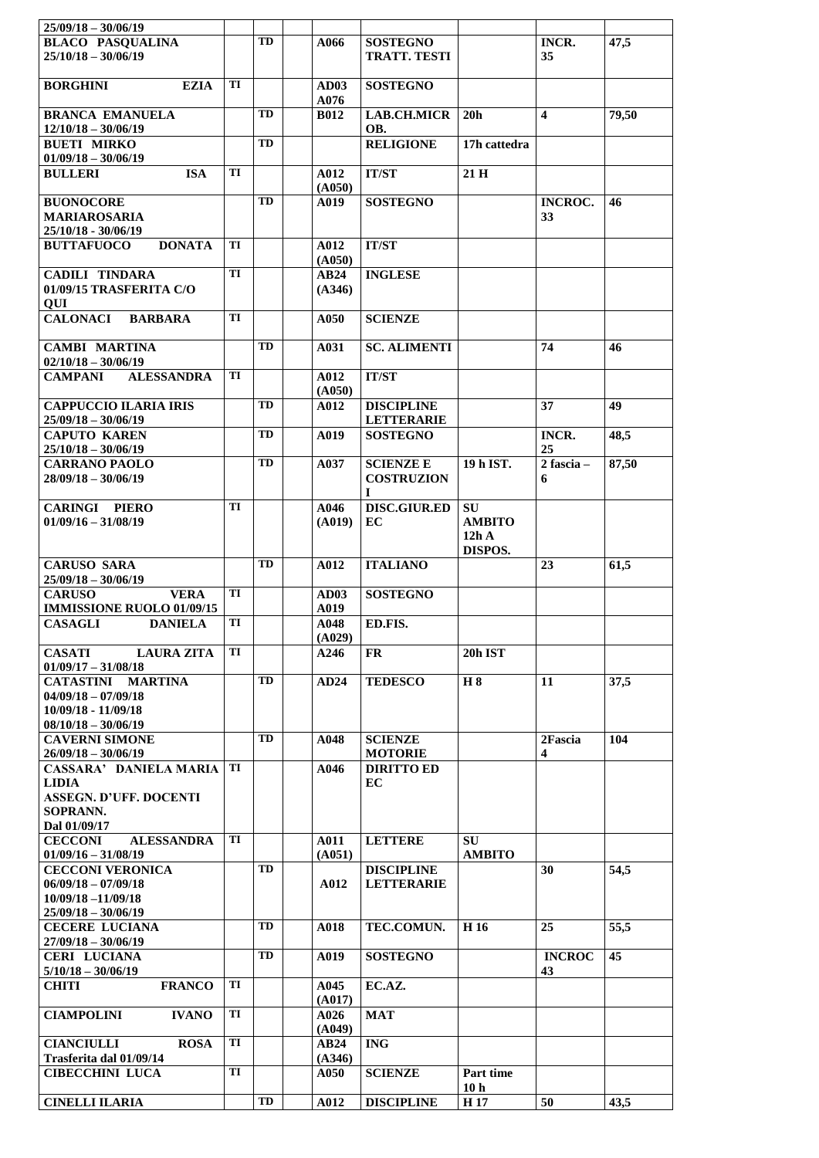| $25/09/18 - 30/06/19$                                            |    |    |                     |                                        |                         |                         |       |
|------------------------------------------------------------------|----|----|---------------------|----------------------------------------|-------------------------|-------------------------|-------|
| <b>BLACO PASOUALINA</b><br>$25/10/18 - 30/06/19$                 |    | TD | A066                | <b>SOSTEGNO</b><br><b>TRATT. TESTI</b> |                         | <b>INCR.</b><br>35      | 47,5  |
| <b>EZIA</b><br><b>BORGHINI</b>                                   | TI |    | AD03<br>A076        | <b>SOSTEGNO</b>                        |                         |                         |       |
| <b>BRANCA EMANUELA</b><br>$12/10/18 - 30/06/19$                  |    | TD | <b>B012</b>         | <b>LAB.CH.MICR</b><br>OB.              | 20 <sub>h</sub>         | $\overline{\mathbf{4}}$ | 79,50 |
| <b>BUETI MIRKO</b><br>$01/09/18 - 30/06/19$                      |    | TD |                     | <b>RELIGIONE</b>                       | 17h cattedra            |                         |       |
| <b>BULLERI</b><br><b>ISA</b>                                     | TI |    | A012<br>(A050)      | <b>IT/ST</b>                           | 21 H                    |                         |       |
| <b>BUONOCORE</b>                                                 |    | TD | A019                | <b>SOSTEGNO</b>                        |                         | <b>INCROC.</b>          | 46    |
| <b>MARIAROSARIA</b><br>25/10/18 - 30/06/19                       |    |    |                     |                                        |                         | 33                      |       |
| <b>DONATA</b><br><b>BUTTAFUOCO</b>                               | TI |    | A012<br>(A050)      | <b>IT/ST</b>                           |                         |                         |       |
| <b>CADILI TINDARA</b><br>01/09/15 TRASFERITA C/O<br>QUI          | TI |    | AB24<br>(A346)      | <b>INGLESE</b>                         |                         |                         |       |
| <b>CALONACI</b><br><b>BARBARA</b>                                | TI |    | A050                | <b>SCIENZE</b>                         |                         |                         |       |
| <b>CAMBI MARTINA</b><br>$02/10/18 - 30/06/19$                    |    | TD | A031                | <b>SC. ALIMENTI</b>                    |                         | 74                      | 46    |
| <b>CAMPANI</b><br><b>ALESSANDRA</b>                              | TI |    | A012<br>(A050)      | <b>IT/ST</b>                           |                         |                         |       |
| <b>CAPPUCCIO ILARIA IRIS</b><br>$25/09/18 - 30/06/19$            |    | TD | A012                | <b>DISCIPLINE</b><br><b>LETTERARIE</b> |                         | 37                      | 49    |
| <b>CAPUTO KAREN</b>                                              |    | TD | A019                | <b>SOSTEGNO</b>                        |                         | INCR.                   | 48,5  |
| $25/10/18 - 30/06/19$<br><b>CARRANO PAOLO</b>                    |    | TD | A037                | <b>SCIENZE E</b>                       | 19 h IST.               | 25<br>$2$ fascia –      | 87,50 |
| $28/09/18 - 30/06/19$                                            |    |    |                     | <b>COSTRUZION</b><br>$\mathbf I$       |                         | 6                       |       |
| <b>CARINGI PIERO</b>                                             | TI |    | A046                | <b>DISC.GIUR.ED</b>                    | <b>SU</b>               |                         |       |
| $01/09/16 - 31/08/19$                                            |    |    | (A019)              | EC                                     | <b>AMBITO</b><br>12hA   |                         |       |
|                                                                  |    |    |                     |                                        | DISPOS.                 |                         |       |
| <b>CARUSO SARA</b><br>$25/09/18 - 30/06/19$                      |    | TD | A012                | <b>ITALIANO</b>                        |                         | 23                      | 61,5  |
| <b>CARUSO</b><br><b>VERA</b><br><b>IMMISSIONE RUOLO 01/09/15</b> | TI |    | <b>AD03</b><br>A019 | <b>SOSTEGNO</b>                        |                         |                         |       |
| <b>CASAGLI</b><br><b>DANIELA</b>                                 | TI |    | A048<br>(A029)      | ED.FIS.                                |                         |                         |       |
| <b>CASATI</b><br><b>LAURA ZITA</b><br>$01/09/17 - 31/08/18$      | TI |    | A246                | FR.                                    | 20h IST                 |                         |       |
| CATASTINI MARTINA                                                |    | TD | AD24                | <b>TEDESCO</b>                         | H 8                     | 11                      | 37,5  |
| $04/09/18 - 07/09/18$<br>10/09/18 - 11/09/18                     |    |    |                     |                                        |                         |                         |       |
| $08/10/18 - 30/06/19$                                            |    |    |                     |                                        |                         |                         |       |
| <b>CAVERNI SIMONE</b><br>$26/09/18 - 30/06/19$                   |    | TD | A048                | <b>SCIENZE</b><br><b>MOTORIE</b>       |                         | 2Fascia<br>4            | 104   |
| <b>CASSARA' DANIELA MARIA</b>                                    | TI |    | A046                | <b>DIRITTO ED</b>                      |                         |                         |       |
| <b>LIDIA</b><br><b>ASSEGN. D'UFF. DOCENTI</b>                    |    |    |                     | EC                                     |                         |                         |       |
| SOPRANN.                                                         |    |    |                     |                                        |                         |                         |       |
| Dal 01/09/17<br><b>CECCONI</b><br><b>ALESSANDRA</b>              | TI |    | A011                | <b>LETTERE</b>                         | SU                      |                         |       |
| $01/09/16 - 31/08/19$                                            |    |    | (A051)              |                                        | <b>AMBITO</b>           |                         |       |
| <b>CECCONI VERONICA</b><br>$06/09/18 - 07/09/18$                 |    | TD | A012                | <b>DISCIPLINE</b><br><b>LETTERARIE</b> |                         | 30                      | 54,5  |
| $10/09/18 - 11/09/18$                                            |    |    |                     |                                        |                         |                         |       |
| $25/09/18 - 30/06/19$<br><b>CECERE LUCIANA</b>                   |    | TD | A018                | TEC.COMUN.                             | H 16                    | 25                      | 55,5  |
| $27/09/18 - 30/06/19$                                            |    |    |                     |                                        |                         |                         |       |
| <b>CERI LUCIANA</b><br>$5/10/18 - 30/06/19$                      |    | TD | A019                | <b>SOSTEGNO</b>                        |                         | <b>INCROC</b><br>43     | 45    |
| <b>FRANCO</b><br><b>CHITI</b>                                    | TI |    | A045<br>(A017)      | EC.AZ.                                 |                         |                         |       |
| <b>CIAMPOLINI</b><br><b>IVANO</b>                                | TI |    | A026<br>(A049)      | <b>MAT</b>                             |                         |                         |       |
| <b>CIANCIULLI</b><br><b>ROSA</b>                                 | TI |    | <b>AB24</b>         | <b>ING</b>                             |                         |                         |       |
| Trasferita dal 01/09/14<br><b>CIBECCHINI LUCA</b>                | TI |    | (A346)<br>A050      | <b>SCIENZE</b>                         | Part time               |                         |       |
| <b>CINELLI ILARIA</b>                                            |    | TD | A012                | <b>DISCIPLINE</b>                      | 10 <sub>h</sub><br>H 17 | 50                      | 43,5  |
|                                                                  |    |    |                     |                                        |                         |                         |       |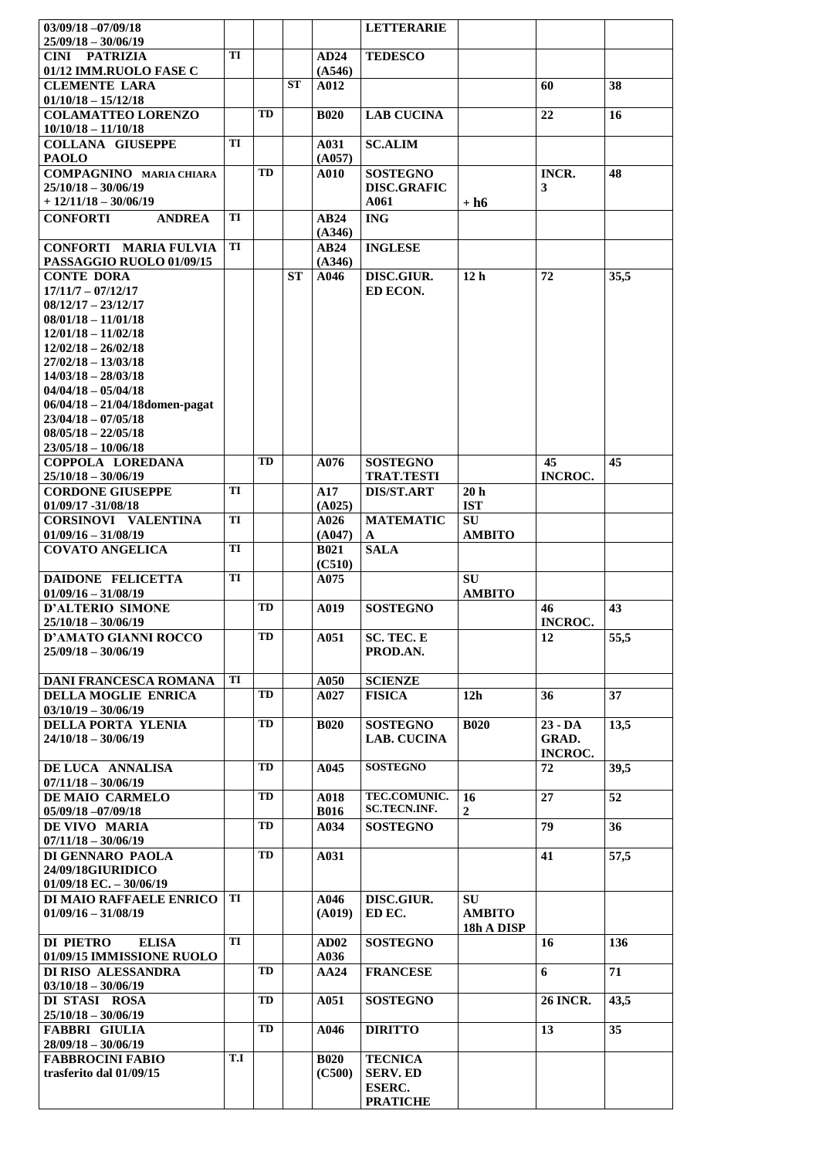| $03/09/18 - 07/09/18$                                 |     |           |           |                     | <b>LETTERARIE</b>                          |                            |                      |                   |
|-------------------------------------------------------|-----|-----------|-----------|---------------------|--------------------------------------------|----------------------------|----------------------|-------------------|
| $25/09/18 - 30/06/19$                                 |     |           |           |                     |                                            |                            |                      |                   |
| <b>CINI PATRIZIA</b>                                  | TI  |           |           | AD24                | <b>TEDESCO</b>                             |                            |                      |                   |
| 01/12 IMM.RUOLO FASE C<br><b>CLEMENTE LARA</b>        |     |           | <b>ST</b> | (A546)<br>A012      |                                            |                            | 60                   | 38                |
| $01/10/18 - 15/12/18$                                 |     |           |           |                     |                                            |                            |                      |                   |
| <b>COLAMATTEO LORENZO</b>                             |     | TD        |           | <b>B020</b>         | <b>LAB CUCINA</b>                          |                            | 22                   | 16                |
| $10/10/18 - 11/10/18$                                 |     |           |           |                     |                                            |                            |                      |                   |
| <b>COLLANA GIUSEPPE</b>                               | TI  |           |           | A031                | <b>SC.ALIM</b>                             |                            |                      |                   |
| <b>PAOLO</b><br><b>COMPAGNINO</b> MARIA CHIARA        |     | TD        |           | (A057)<br>A010      | <b>SOSTEGNO</b>                            |                            | INCR.                | 48                |
| $25/10/18 - 30/06/19$                                 |     |           |           |                     | <b>DISC.GRAFIC</b>                         |                            | 3                    |                   |
| $+12/11/18-30/06/19$                                  |     |           |           |                     | A061                                       | $+ h6$                     |                      |                   |
| <b>CONFORTI</b><br><b>ANDREA</b>                      | TI  |           |           | AB24                | <b>ING</b>                                 |                            |                      |                   |
|                                                       |     |           |           | (A346)              |                                            |                            |                      |                   |
| <b>CONFORTI MARIA FULVIA</b>                          | TI  |           |           | AB24                | <b>INGLESE</b>                             |                            |                      |                   |
| PASSAGGIO RUOLO 01/09/15<br><b>CONTE DORA</b>         |     |           | ST        | (A346)<br>A046      | DISC.GIUR.                                 | 12 <sub>h</sub>            | 72                   | 35,5              |
| $17/11/7 - 07/12/17$                                  |     |           |           |                     | ED ECON.                                   |                            |                      |                   |
| $08/12/17 - 23/12/17$                                 |     |           |           |                     |                                            |                            |                      |                   |
| $08/01/18 - 11/01/18$                                 |     |           |           |                     |                                            |                            |                      |                   |
| $12/01/18 - 11/02/18$<br>$12/02/18 - 26/02/18$        |     |           |           |                     |                                            |                            |                      |                   |
| $27/02/18 - 13/03/18$                                 |     |           |           |                     |                                            |                            |                      |                   |
| $14/03/18 - 28/03/18$                                 |     |           |           |                     |                                            |                            |                      |                   |
| $04/04/18 - 05/04/18$                                 |     |           |           |                     |                                            |                            |                      |                   |
| $06/04/18 - 21/04/18$ domen-pagat                     |     |           |           |                     |                                            |                            |                      |                   |
| $23/04/18 - 07/05/18$<br>$08/05/18 - 22/05/18$        |     |           |           |                     |                                            |                            |                      |                   |
| $23/05/18 - 10/06/18$                                 |     |           |           |                     |                                            |                            |                      |                   |
| COPPOLA LOREDANA                                      |     | <b>TD</b> |           | A076                | <b>SOSTEGNO</b>                            |                            | 45                   | 45                |
| $25/10/18 - 30/06/19$                                 |     |           |           |                     | <b>TRAT.TESTI</b>                          |                            | <b>INCROC.</b>       |                   |
| <b>CORDONE GIUSEPPE</b>                               | TI  |           |           | A17                 | <b>DIS/ST.ART</b>                          | 20 <sub>h</sub>            |                      |                   |
| 01/09/17 -31/08/18                                    | TI  |           |           | (A025)              |                                            | <b>IST</b>                 |                      |                   |
| <b>CORSINOVI VALENTINA</b><br>$01/09/16 - 31/08/19$   |     |           |           | A026<br>(A047)      | <b>MATEMATIC</b><br>A                      | <b>SU</b><br><b>AMBITO</b> |                      |                   |
| <b>COVATO ANGELICA</b>                                | TI  |           |           | <b>B021</b>         | <b>SALA</b>                                |                            |                      |                   |
|                                                       |     |           |           | (C510)              |                                            |                            |                      |                   |
| <b>DAIDONE FELICETTA</b>                              | TI  |           |           | A075                |                                            | <b>SU</b>                  |                      |                   |
| $01/09/16 - 31/08/19$                                 |     |           |           |                     |                                            | <b>AMBITO</b>              |                      |                   |
| <b>D'ALTERIO SIMONE</b><br>$25/10/18 - 30/06/19$      |     | <b>TD</b> |           | A019                | <b>SOSTEGNO</b>                            |                            | 46<br><b>INCROC.</b> | 43                |
| <b>D'AMATO GIANNI ROCCO</b>                           |     | TD        |           | A051                | SC. TEC. E                                 |                            | 12                   | $\overline{55,5}$ |
| $25/09/18 - 30/06/19$                                 |     |           |           |                     | PROD.AN.                                   |                            |                      |                   |
|                                                       |     |           |           |                     |                                            |                            |                      |                   |
| <b>DANI FRANCESCA ROMANA</b>                          | TI  |           |           | A050                | <b>SCIENZE</b>                             |                            |                      |                   |
| DELLA MOGLIE ENRICA                                   |     | TD        |           | A027                | <b>FISICA</b>                              | 12h                        | 36                   | 37                |
| $03/10/19 - 30/06/19$<br>DELLA PORTA YLENIA           |     | TD        |           | <b>B020</b>         | <b>SOSTEGNO</b>                            | <b>B020</b>                | $23 - DA$            | 13,5              |
| $24/10/18 - 30/06/19$                                 |     |           |           |                     | <b>LAB. CUCINA</b>                         |                            | GRAD.                |                   |
|                                                       |     |           |           |                     |                                            |                            | <b>INCROC.</b>       |                   |
| DE LUCA ANNALISA                                      |     | TD        |           | A045                | <b>SOSTEGNO</b>                            |                            | 72                   | 39,5              |
| $07/11/18 - 30/06/19$                                 |     |           |           |                     |                                            |                            |                      |                   |
| DE MAIO CARMELO<br>$05/09/18 - 07/09/18$              |     | TD        |           | A018<br><b>B016</b> | <b>TEC.COMUNIC.</b><br><b>SC.TECN.INF.</b> | 16<br>$\boldsymbol{2}$     | 27                   | 52                |
| DE VIVO MARIA                                         |     | TD        |           | A034                | <b>SOSTEGNO</b>                            |                            | 79                   | 36                |
| $07/11/18 - 30/06/19$                                 |     |           |           |                     |                                            |                            |                      |                   |
| DI GENNARO PAOLA                                      |     | TD        |           | A031                |                                            |                            | 41                   | 57,5              |
| 24/09/18GIURIDICO                                     |     |           |           |                     |                                            |                            |                      |                   |
| $01/09/18$ EC. $-30/06/19$<br>DI MAIO RAFFAELE ENRICO | TI  |           |           | A046                | DISC.GIUR.                                 | <b>SU</b>                  |                      |                   |
| $01/09/16 - 31/08/19$                                 |     |           |           | (A019)              | ED EC.                                     | <b>AMBITO</b>              |                      |                   |
|                                                       |     |           |           |                     |                                            | 18h A DISP                 |                      |                   |
| DI PIETRO<br><b>ELISA</b>                             | TI  |           |           | AD02                | <b>SOSTEGNO</b>                            |                            | 16                   | 136               |
| 01/09/15 IMMISSIONE RUOLO                             |     |           |           | A036                |                                            |                            |                      |                   |
| DI RISO ALESSANDRA                                    |     | TD        |           | AA24                | <b>FRANCESE</b>                            |                            | 6                    | 71                |
| $03/10/18 - 30/06/19$<br>DI STASI ROSA                |     | TD        |           | A051                | <b>SOSTEGNO</b>                            |                            | <b>26 INCR.</b>      | 43,5              |
| $25/10/18 - 30/06/19$                                 |     |           |           |                     |                                            |                            |                      |                   |
| <b>FABBRI GIULIA</b>                                  |     | TD        |           | A046                | <b>DIRITTO</b>                             |                            | 13                   | 35                |
| $28/09/18 - 30/06/19$                                 |     |           |           |                     |                                            |                            |                      |                   |
| <b>FABBROCINI FABIO</b>                               | T.I |           |           | <b>B020</b>         | <b>TECNICA</b>                             |                            |                      |                   |
| trasferito dal 01/09/15                               |     |           |           | (C500)              | <b>SERV. ED</b><br><b>ESERC.</b>           |                            |                      |                   |
|                                                       |     |           |           |                     | <b>PRATICHE</b>                            |                            |                      |                   |
|                                                       |     |           |           |                     |                                            |                            |                      |                   |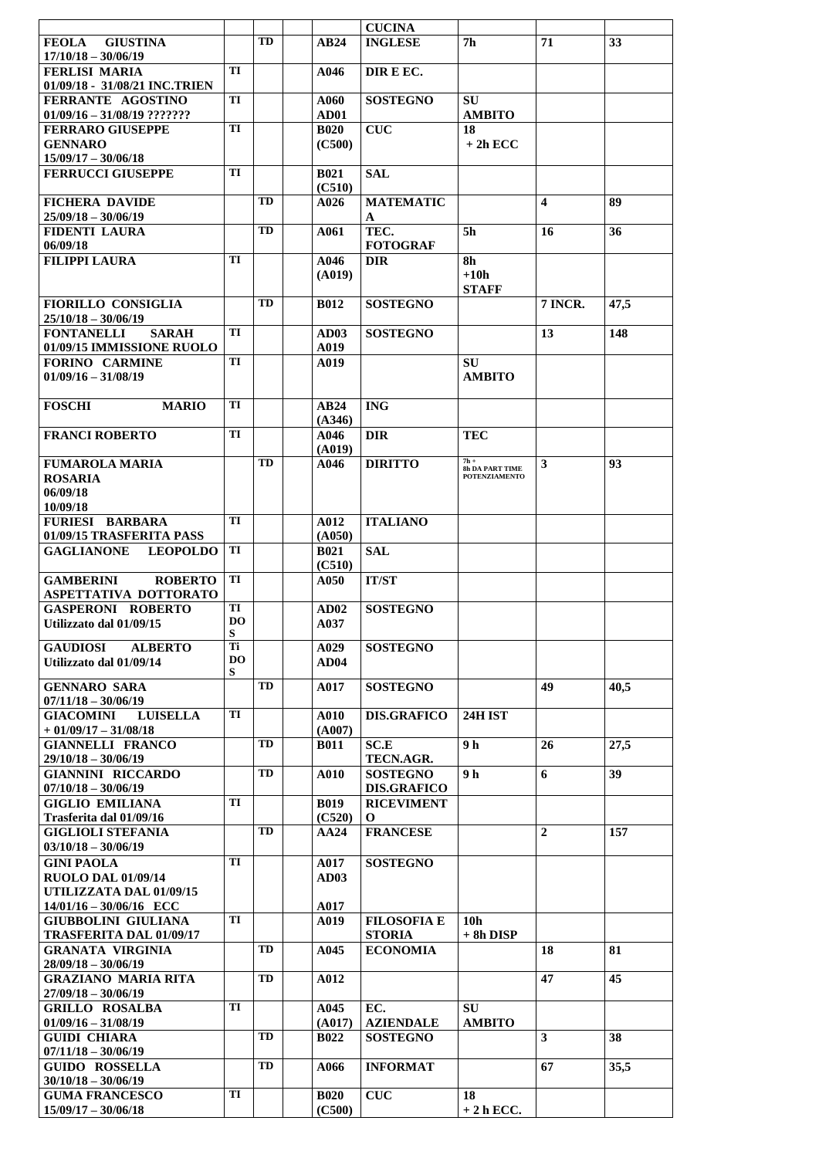|                                                                  |          |           |                       | <b>CUCINA</b>                       |                                  |                  |      |
|------------------------------------------------------------------|----------|-----------|-----------------------|-------------------------------------|----------------------------------|------------------|------|
| <b>GIUSTINA</b><br><b>FEOLA</b><br>$17/10/18 - 30/06/19$         |          | TD        | AB24                  | <b>INGLESE</b>                      | 7h                               | 71               | 33   |
| <b>FERLISI MARIA</b>                                             | TI       |           | A046                  | DIR E EC.                           |                                  |                  |      |
| 01/09/18 - 31/08/21 INC.TRIEN<br>FERRANTE AGOSTINO               | TI       |           | A060                  | <b>SOSTEGNO</b>                     | <b>SU</b>                        |                  |      |
| $01/09/16 - 31/08/19$ ???????                                    |          |           | AD01                  |                                     | <b>AMBITO</b>                    |                  |      |
| <b>FERRARO GIUSEPPE</b>                                          | TI       |           | <b>B020</b>           | <b>CUC</b>                          | 18                               |                  |      |
| <b>GENNARO</b><br>$15/09/17 - 30/06/18$                          |          |           | (C500)                |                                     | $+2h$ ECC                        |                  |      |
| <b>FERRUCCI GIUSEPPE</b>                                         | TI       |           | <b>B021</b>           | <b>SAL</b>                          |                                  |                  |      |
| <b>FICHERA DAVIDE</b>                                            |          | <b>TD</b> | (C510)<br>A026        | <b>MATEMATIC</b>                    |                                  | $\boldsymbol{4}$ | 89   |
| $25/09/18 - 30/06/19$                                            |          |           |                       | A                                   |                                  |                  |      |
| <b>FIDENTI LAURA</b><br>06/09/18                                 |          | TD        | A061                  | TEC.<br><b>FOTOGRAF</b>             | 5h                               | 16               | 36   |
| <b>FILIPPI LAURA</b>                                             | TI       |           | A046                  | <b>DIR</b>                          | 8h                               |                  |      |
|                                                                  |          |           | (A019)                |                                     | $+10h$<br><b>STAFF</b>           |                  |      |
| <b>FIORILLO CONSIGLIA</b>                                        |          | TD        | <b>B012</b>           | <b>SOSTEGNO</b>                     |                                  | <b>7 INCR.</b>   | 47,5 |
| $25/10/18 - 30/06/19$                                            | TI       |           |                       |                                     |                                  |                  |      |
| <b>FONTANELLI</b><br><b>SARAH</b><br>01/09/15 IMMISSIONE RUOLO   |          |           | AD03<br>A019          | <b>SOSTEGNO</b>                     |                                  | 13               | 148  |
| <b>FORINO CARMINE</b>                                            | TI       |           | A019                  |                                     | SU                               |                  |      |
| $01/09/16 - 31/08/19$                                            |          |           |                       |                                     | AMBITO                           |                  |      |
| <b>FOSCHI</b><br><b>MARIO</b>                                    | TI       |           | AB24                  | <b>ING</b>                          |                                  |                  |      |
| <b>FRANCI ROBERTO</b>                                            | TI       |           | (A346)<br>A046        | <b>DIR</b>                          | <b>TEC</b>                       |                  |      |
|                                                                  |          |           | (A019)                |                                     |                                  |                  |      |
| <b>FUMAROLA MARIA</b>                                            |          | TD        | A046                  | <b>DIRITTO</b>                      | $7h +$<br><b>8h DA PART TIME</b> | 3                | 93   |
| <b>ROSARIA</b><br>06/09/18                                       |          |           |                       |                                     | <b>POTENZIAMENTO</b>             |                  |      |
| 10/09/18                                                         |          |           |                       |                                     |                                  |                  |      |
| <b>FURIESI BARBARA</b>                                           | TI       |           | A012                  | <b>ITALIANO</b>                     |                                  |                  |      |
| 01/09/15 TRASFERITA PASS<br><b>GAGLIANONE</b><br><b>LEOPOLDO</b> | TI       |           | (A050)<br><b>B021</b> | <b>SAL</b>                          |                                  |                  |      |
|                                                                  |          |           | (C510)                |                                     |                                  |                  |      |
| <b>GAMBERINI</b><br><b>ROBERTO</b><br>ASPETTATIVA DOTTORATO      | TI       |           | A050                  | <b>IT/ST</b>                        |                                  |                  |      |
| <b>GASPERONI ROBERTO</b>                                         | TI       |           | AD02                  | <b>SOSTEGNO</b>                     |                                  |                  |      |
| Utilizzato dal 01/09/15                                          | DO.<br>S |           | A037                  |                                     |                                  |                  |      |
| <b>GAUDIOSI</b><br><b>ALBERTO</b>                                | Ti       |           | A029                  | <b>SOSTEGNO</b>                     |                                  |                  |      |
| Utilizzato dal 01/09/14                                          | DO.<br>S |           | AD04                  |                                     |                                  |                  |      |
| <b>GENNARO SARA</b>                                              |          | TD        | A017                  | <b>SOSTEGNO</b>                     |                                  | 49               | 40,5 |
| $07/11/18 - 30/06/19$<br><b>GIACOMINI</b><br><b>LUISELLA</b>     | TI       |           | A010                  | <b>DIS.GRAFICO</b>                  | <b>24H IST</b>                   |                  |      |
| $+01/09/17 - 31/08/18$                                           |          |           | (A007)                |                                     |                                  |                  |      |
| <b>GIANNELLI FRANCO</b>                                          |          | TD        | <b>B011</b>           | SC.E                                | 9 h                              | 26               | 27,5 |
| $29/10/18 - 30/06/19$<br><b>GIANNINI RICCARDO</b>                |          | TD        | A010                  | TECN.AGR.<br><b>SOSTEGNO</b>        | 9 h                              | 6                | 39   |
| $07/10/18 - 30/06/19$                                            |          |           |                       | <b>DIS.GRAFICO</b>                  |                                  |                  |      |
| <b>GIGLIO EMILIANA</b><br>Trasferita dal 01/09/16                | TI       |           | <b>B019</b><br>(C520) | <b>RICEVIMENT</b><br>$\mathbf{O}$   |                                  |                  |      |
| <b>GIGLIOLI STEFANIA</b>                                         |          | TD        | AA24                  | <b>FRANCESE</b>                     |                                  | $\overline{2}$   | 157  |
| $03/10/18 - 30/06/19$                                            |          |           |                       |                                     |                                  |                  |      |
| <b>GINI PAOLA</b><br><b>RUOLO DAL 01/09/14</b>                   | TI       |           | A017<br><b>AD03</b>   | <b>SOSTEGNO</b>                     |                                  |                  |      |
| UTILIZZATA DAL 01/09/15                                          |          |           |                       |                                     |                                  |                  |      |
| $14/01/16 - 30/06/16$ ECC                                        |          |           | A017                  |                                     |                                  |                  |      |
| <b>GIUBBOLINI GIULIANA</b><br><b>TRASFERITA DAL 01/09/17</b>     | TI       |           | A019                  | <b>FILOSOFIA E</b><br><b>STORIA</b> | 10 <sub>h</sub><br>$+ 8h$ DISP   |                  |      |
| <b>GRANATA VIRGINIA</b>                                          |          | TD        | A045                  | <b>ECONOMIA</b>                     |                                  | 18               | 81   |
| $28/09/18 - 30/06/19$<br><b>GRAZIANO MARIA RITA</b>              |          | TD        | A012                  |                                     |                                  | 47               | 45   |
| $27/09/18 - 30/06/19$                                            |          |           |                       |                                     |                                  |                  |      |
| <b>GRILLO ROSALBA</b>                                            | TI       |           | A045                  | EC.                                 | <b>SU</b>                        |                  |      |
| $01/09/16 - 31/08/19$<br><b>GUIDI CHIARA</b>                     |          | TD        | (A017)<br><b>B022</b> | <b>AZIENDALE</b><br><b>SOSTEGNO</b> | <b>AMBITO</b>                    | 3                | 38   |
| $07/11/18 - 30/06/19$                                            |          |           |                       |                                     |                                  |                  |      |
| <b>GUIDO ROSSELLA</b><br>$30/10/18 - 30/06/19$                   |          | TD        | A066                  | <b>INFORMAT</b>                     |                                  | 67               | 35,5 |
| <b>GUMA FRANCESCO</b>                                            | TI       |           | <b>B020</b>           | <b>CUC</b>                          | 18                               |                  |      |
| $15/09/17 - 30/06/18$                                            |          |           | (C500)                |                                     | $+2h$ ECC.                       |                  |      |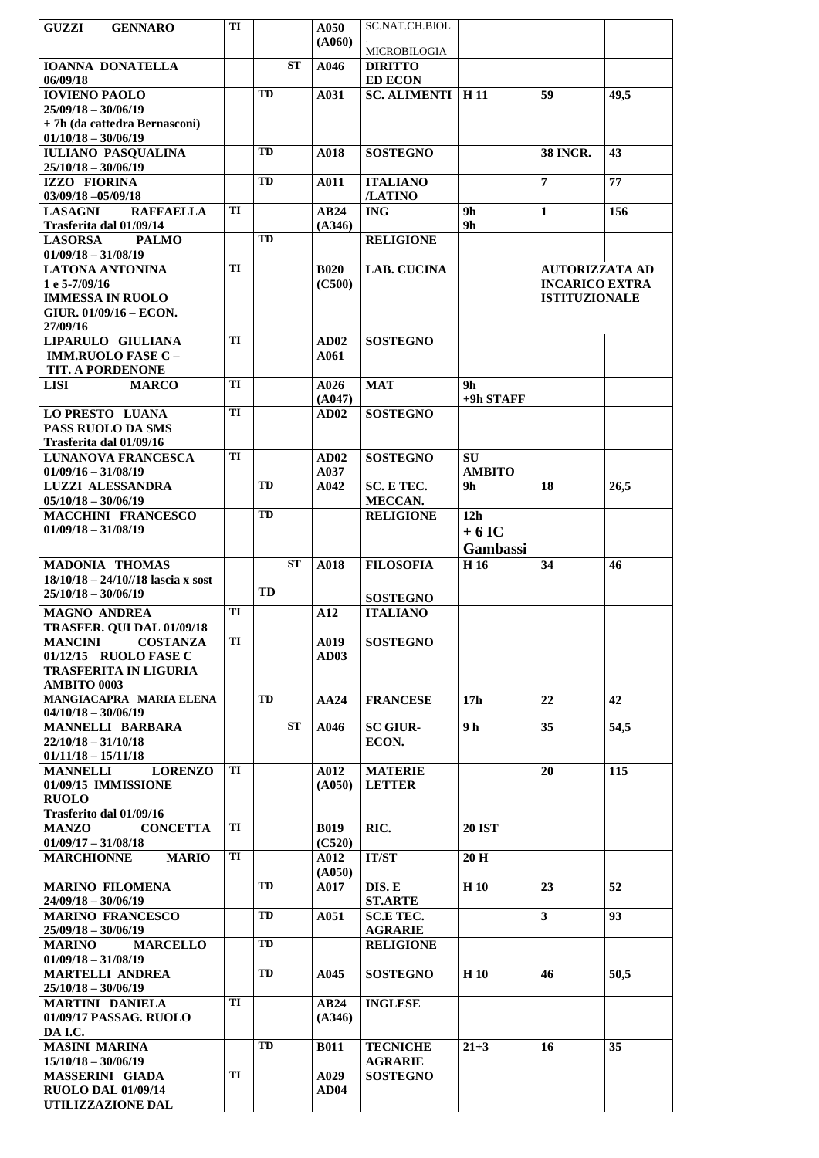| GUZZI<br><b>GENNARO</b>                                        | TI |    |           | A050        | SC.NAT.CH.BIOL                   |                            |                       |      |
|----------------------------------------------------------------|----|----|-----------|-------------|----------------------------------|----------------------------|-----------------------|------|
|                                                                |    |    |           | (A060)      | MICROBILOGIA                     |                            |                       |      |
| <b>IOANNA DONATELLA</b><br>06/09/18                            |    |    | <b>ST</b> | A046        | <b>DIRITTO</b><br><b>ED ECON</b> |                            |                       |      |
| <b>IOVIENO PAOLO</b>                                           |    | TD |           | A031        | <b>SC. ALIMENTI</b>              | H <sub>11</sub>            | 59                    | 49,5 |
| $25/09/18 - 30/06/19$                                          |    |    |           |             |                                  |                            |                       |      |
| + 7h (da cattedra Bernasconi)                                  |    |    |           |             |                                  |                            |                       |      |
| $01/10/18 - 30/06/19$<br><b>IULIANO PASQUALINA</b>             |    | TD |           | A018        | <b>SOSTEGNO</b>                  |                            | <b>38 INCR.</b>       | 43   |
| $25/10/18 - 30/06/19$                                          |    |    |           |             |                                  |                            |                       |      |
| IZZO FIORINA<br>$03/09/18 - 05/09/18$                          |    | TD |           | A011        | <b>ITALIANO</b><br>/LATINO       |                            | $\overline{7}$        | 77   |
| <b>LASAGNI</b><br><b>RAFFAELLA</b>                             | TI |    |           | AB24        | <b>ING</b>                       | 9 <sub>h</sub>             | $\mathbf{1}$          | 156  |
| Trasferita dal 01/09/14                                        |    |    |           | (A346)      |                                  | 9 <sub>h</sub>             |                       |      |
| <b>LASORSA</b><br><b>PALMO</b><br>$01/09/18 - 31/08/19$        |    | TD |           |             | <b>RELIGIONE</b>                 |                            |                       |      |
| <b>LATONA ANTONINA</b>                                         | TI |    |           | <b>B020</b> | <b>LAB. CUCINA</b>               |                            | <b>AUTORIZZATA AD</b> |      |
| 1 e 5-7/09/16                                                  |    |    |           | (C500)      |                                  |                            | <b>INCARICO EXTRA</b> |      |
| <b>IMMESSA IN RUOLO</b>                                        |    |    |           |             |                                  |                            | <b>ISTITUZIONALE</b>  |      |
| GIUR. 01/09/16 - ECON.<br>27/09/16                             |    |    |           |             |                                  |                            |                       |      |
| LIPARULO GIULIANA                                              | TI |    |           | AD02        | <b>SOSTEGNO</b>                  |                            |                       |      |
| <b>IMM.RUOLO FASE C -</b>                                      |    |    |           | A061        |                                  |                            |                       |      |
| TIT. A PORDENONE<br><b>LISI</b><br><b>MARCO</b>                | TI |    |           | A026        | <b>MAT</b>                       | 9h                         |                       |      |
|                                                                |    |    |           | (A047)      |                                  | +9h STAFF                  |                       |      |
| <b>LO PRESTO LUANA</b>                                         | TI |    |           | AD02        | <b>SOSTEGNO</b>                  |                            |                       |      |
| PASS RUOLO DA SMS                                              |    |    |           |             |                                  |                            |                       |      |
| Trasferita dal 01/09/16<br><b>LUNANOVA FRANCESCA</b>           | TI |    |           | AD02        | <b>SOSTEGNO</b>                  | <b>SU</b>                  |                       |      |
| $01/09/16 - 31/08/19$                                          |    |    |           | A037        |                                  | <b>AMBITO</b>              |                       |      |
| LUZZI ALESSANDRA                                               |    | TD |           | A042        | SC. E TEC.                       | 9h                         | 18                    | 26,5 |
| $05/10/18 - 30/06/19$                                          |    |    |           |             | MECCAN.                          |                            |                       |      |
| <b>MACCHINI FRANCESCO</b><br>$01/09/18 - 31/08/19$             |    | TD |           |             | <b>RELIGIONE</b>                 | 12 <sub>h</sub><br>$+6$ IC |                       |      |
|                                                                |    |    |           |             |                                  | Gambassi                   |                       |      |
| <b>MADONIA THOMAS</b>                                          |    |    | <b>ST</b> | A018        | <b>FILOSOFIA</b>                 | H <sub>16</sub>            | 34                    | 46   |
| $18/10/18 - 24/10$ //18 lascia x sost                          |    |    |           |             |                                  |                            |                       |      |
| $25/10/18 - 30/06/19$                                          |    | TD |           |             | <b>SOSTEGNO</b>                  |                            |                       |      |
| <b>MAGNO ANDREA</b>                                            | TI |    |           | A12         | <b>ITALIANO</b>                  |                            |                       |      |
| TRASFER. QUI DAL 01/09/18<br><b>MANCINI</b><br><b>COSTANZA</b> | TI |    |           | A019        | <b>SOSTEGNO</b>                  |                            |                       |      |
| 01/12/15 RUOLO FASE C                                          |    |    |           | <b>AD03</b> |                                  |                            |                       |      |
| <b>TRASFERITA IN LIGURIA</b>                                   |    |    |           |             |                                  |                            |                       |      |
| <b>AMBITO 0003</b><br>MANGIACAPRA MARIA ELENA                  |    | TD |           | AA24        | <b>FRANCESE</b>                  | 17 <sub>h</sub>            | 22                    | 42   |
| $04/10/18 - 30/06/19$                                          |    |    |           |             |                                  |                            |                       |      |
| <b>MANNELLI BARBARA</b>                                        |    |    | <b>ST</b> | A046        | <b>SC GIUR-</b>                  | 9 <sub>h</sub>             | 35                    | 54,5 |
| $22/10/18 - 31/10/18$                                          |    |    |           |             | ECON.                            |                            |                       |      |
| $01/11/18 - 15/11/18$<br><b>MANNELLI</b><br><b>LORENZO</b>     | TI |    |           | A012        | <b>MATERIE</b>                   |                            | 20                    | 115  |
| 01/09/15 IMMISSIONE                                            |    |    |           | (A050)      | <b>LETTER</b>                    |                            |                       |      |
| <b>RUOLO</b>                                                   |    |    |           |             |                                  |                            |                       |      |
| Trasferito dal 01/09/16<br><b>MANZO</b><br><b>CONCETTA</b>     | TI |    |           | <b>B019</b> | RIC.                             | <b>20 IST</b>              |                       |      |
| $01/09/17 - 31/08/18$                                          |    |    |           | (C520)      |                                  |                            |                       |      |
| <b>MARCHIONNE</b><br><b>MARIO</b>                              | TI |    |           | A012        | <b>IT/ST</b>                     | 20 H                       |                       |      |
| <b>MARINO FILOMENA</b>                                         |    | TD |           | (A050)      |                                  |                            | 23                    | 52   |
| $24/09/18 - 30/06/19$                                          |    |    |           | A017        | DIS. E<br><b>ST.ARTE</b>         | H 10                       |                       |      |
| <b>MARINO FRANCESCO</b>                                        |    | TD |           | A051        | <b>SC.E TEC.</b>                 |                            | 3                     | 93   |
| $25/09/18 - 30/06/19$                                          |    |    |           |             | <b>AGRARIE</b>                   |                            |                       |      |
| <b>MARINO</b><br><b>MARCELLO</b><br>$01/09/18 - 31/08/19$      |    | TD |           |             | <b>RELIGIONE</b>                 |                            |                       |      |
| <b>MARTELLI ANDREA</b>                                         |    | TD |           | A045        | <b>SOSTEGNO</b>                  | H <sub>10</sub>            | 46                    | 50,5 |
| $25/10/18 - 30/06/19$                                          |    |    |           |             |                                  |                            |                       |      |
| <b>MARTINI DANIELA</b>                                         | TI |    |           | AB24        | <b>INGLESE</b>                   |                            |                       |      |
| 01/09/17 PASSAG. RUOLO<br>DA I.C.                              |    |    |           | (A346)      |                                  |                            |                       |      |
| <b>MASINI MARINA</b>                                           |    | TD |           | <b>B011</b> | <b>TECNICHE</b>                  | $21 + 3$                   | 16                    | 35   |
| $15/10/18 - 30/06/19$                                          |    |    |           |             | <b>AGRARIE</b>                   |                            |                       |      |
| MASSERINI GIADA                                                | TI |    |           | A029        | <b>SOSTEGNO</b>                  |                            |                       |      |
| <b>RUOLO DAL 01/09/14</b><br>UTILIZZAZIONE DAL                 |    |    |           | <b>AD04</b> |                                  |                            |                       |      |
|                                                                |    |    |           |             |                                  |                            |                       |      |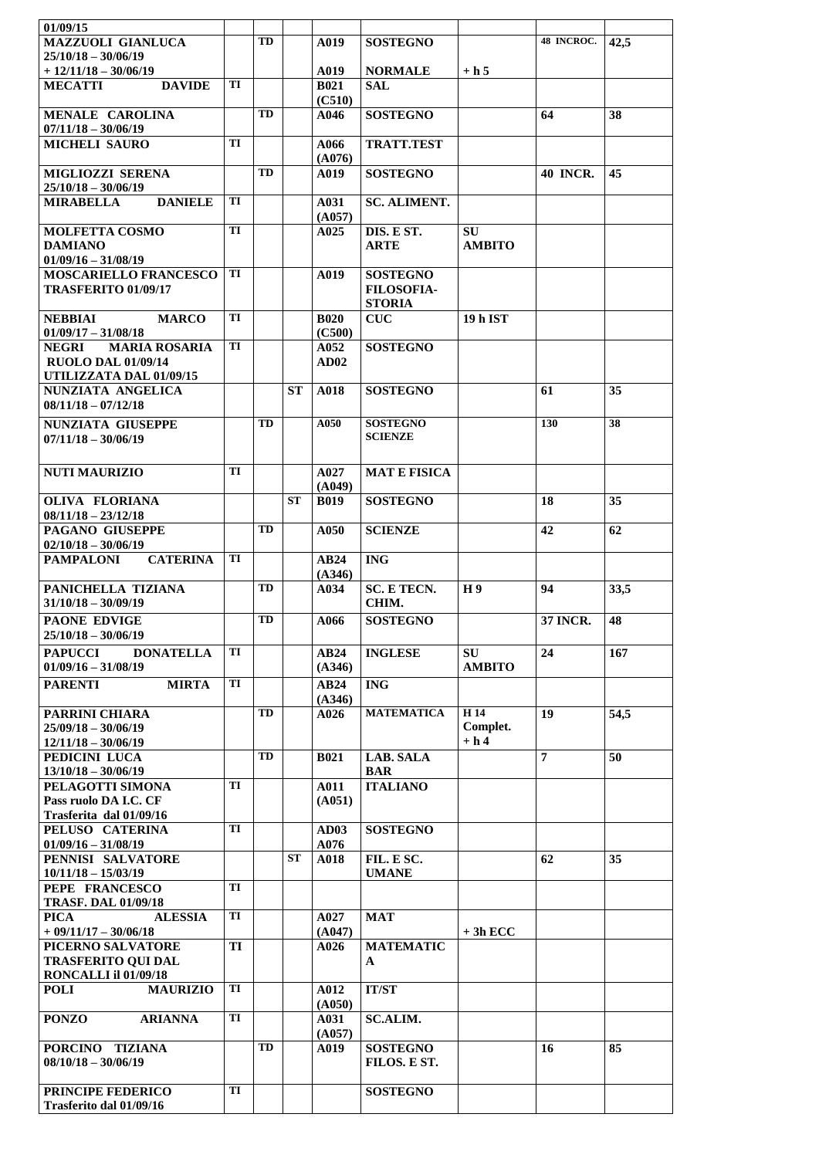| 01/09/15                                                      |    |           |           |                       |                                 |                    |                 |      |
|---------------------------------------------------------------|----|-----------|-----------|-----------------------|---------------------------------|--------------------|-----------------|------|
| <b>MAZZUOLI GIANLUCA</b>                                      |    | TD        |           | A019                  | <b>SOSTEGNO</b>                 |                    | 48 INCROC.      | 42,5 |
| $25/10/18 - 30/06/19$                                         |    |           |           |                       |                                 |                    |                 |      |
| $+ 12/11/18 - 30/06/19$                                       | TI |           |           | A019                  | <b>NORMALE</b>                  | $+ h 5$            |                 |      |
| <b>MECATTI</b><br><b>DAVIDE</b>                               |    |           |           | <b>B021</b><br>(C510) | SAL                             |                    |                 |      |
| <b>MENALE CAROLINA</b>                                        |    | TD        |           | A046                  | <b>SOSTEGNO</b>                 |                    | 64              | 38   |
| $07/11/18 - 30/06/19$                                         |    |           |           |                       |                                 |                    |                 |      |
| <b>MICHELI SAURO</b>                                          | TI |           |           | A066<br>(A076)        | <b>TRATT.TEST</b>               |                    |                 |      |
| <b>MIGLIOZZI SERENA</b>                                       |    | TD        |           | A019                  | <b>SOSTEGNO</b>                 |                    | <b>40 INCR.</b> | 45   |
| $25/10/18 - 30/06/19$                                         |    |           |           |                       |                                 |                    |                 |      |
| <b>MIRABELLA</b><br><b>DANIELE</b>                            | TI |           |           | A031                  | <b>SC. ALIMENT.</b>             |                    |                 |      |
| <b>MOLFETTA COSMO</b>                                         | TI |           |           | (A057)<br>A025        | DIS. E ST.                      | <b>SU</b>          |                 |      |
| <b>DAMIANO</b>                                                |    |           |           |                       | <b>ARTE</b>                     | <b>AMBITO</b>      |                 |      |
| $01/09/16 - 31/08/19$                                         |    |           |           |                       |                                 |                    |                 |      |
| <b>MOSCARIELLO FRANCESCO</b>                                  | TI |           |           | A019                  | <b>SOSTEGNO</b>                 |                    |                 |      |
| TRASFERITO 01/09/17                                           |    |           |           |                       | <b>FILOSOFIA-</b>               |                    |                 |      |
|                                                               |    |           |           |                       | <b>STORIA</b>                   |                    |                 |      |
| <b>NEBBIAI</b><br><b>MARCO</b>                                | TI |           |           | <b>B020</b>           | CUC                             | <b>19 h IST</b>    |                 |      |
| $01/09/17 - 31/08/18$<br><b>NEGRI</b><br><b>MARIA ROSARIA</b> | TI |           |           | (C500)<br>A052        | <b>SOSTEGNO</b>                 |                    |                 |      |
| <b>RUOLO DAL 01/09/14</b>                                     |    |           |           | AD02                  |                                 |                    |                 |      |
| UTILIZZATA DAL 01/09/15                                       |    |           |           |                       |                                 |                    |                 |      |
| NUNZIATA ANGELICA                                             |    |           | ST        | A018                  | <b>SOSTEGNO</b>                 |                    | 61              | 35   |
| $08/11/18 - 07/12/18$                                         |    |           |           |                       |                                 |                    |                 |      |
| <b>NUNZIATA GIUSEPPE</b>                                      |    | TD        |           | A050                  | <b>SOSTEGNO</b>                 |                    | 130             | 38   |
| $07/11/18 - 30/06/19$                                         |    |           |           |                       | <b>SCIENZE</b>                  |                    |                 |      |
|                                                               |    |           |           |                       |                                 |                    |                 |      |
| <b>NUTI MAURIZIO</b>                                          | TI |           |           | A027                  | <b>MAT E FISICA</b>             |                    |                 |      |
|                                                               |    |           |           | (A049)                |                                 |                    |                 |      |
| <b>OLIVA FLORIANA</b>                                         |    |           | <b>ST</b> | <b>B019</b>           | <b>SOSTEGNO</b>                 |                    | 18              | 35   |
| $08/11/18 - 23/12/18$<br><b>PAGANO GIUSEPPE</b>               |    | <b>TD</b> |           | A050                  | <b>SCIENZE</b>                  |                    | 42              | 62   |
| $02/10/18 - 30/06/19$                                         |    |           |           |                       |                                 |                    |                 |      |
| <b>PAMPALONI</b><br><b>CATERINA</b>                           | TI |           |           | AB24                  | <b>ING</b>                      |                    |                 |      |
|                                                               |    |           |           | (A346)                |                                 |                    |                 |      |
| PANICHELLA TIZIANA                                            |    | TD        |           | A034                  | <b>SC. E TECN.</b>              | H 9                | 94              | 33,5 |
| $31/10/18 - 30/09/19$                                         |    |           |           |                       | CHIM.                           |                    |                 |      |
| <b>PAONE EDVIGE</b>                                           |    | TD        |           | A066                  | <b>SOSTEGNO</b>                 |                    | <b>37 INCR.</b> | 48   |
| $25/10/18 - 30/06/19$                                         |    |           |           |                       |                                 |                    |                 |      |
| <b>PAPUCCI</b><br><b>DONATELLA</b>                            |    |           |           |                       |                                 |                    |                 | 167  |
|                                                               | TI |           |           | AB24                  | <b>INGLESE</b>                  | SU                 | 24              |      |
| $01/09/16 - 31/08/19$                                         |    |           |           | (A346)                |                                 | <b>AMBITO</b>      |                 |      |
| <b>PARENTI</b><br><b>MIRTA</b>                                | TI |           |           | AB24                  | <b>ING</b>                      |                    |                 |      |
|                                                               |    |           |           | (A346)                |                                 |                    |                 |      |
| PARRINI CHIARA                                                |    | TD        |           | A026                  | <b>MATEMATICA</b>               | H <sub>14</sub>    | 19              | 54,5 |
| $25/09/18 - 30/06/19$<br>$12/11/18 - 30/06/19$                |    |           |           |                       |                                 | Complet.<br>$+ h4$ |                 |      |
| PEDICINI LUCA                                                 |    | TD        |           | <b>B021</b>           | LAB. SALA                       |                    | $\overline{7}$  | 50   |
| $13/10/18 - 30/06/19$                                         |    |           |           |                       | <b>BAR</b>                      |                    |                 |      |
| PELAGOTTI SIMONA                                              | TI |           |           | A011                  | <b>ITALIANO</b>                 |                    |                 |      |
| Pass ruolo DA I.C. CF                                         |    |           |           | (A051)                |                                 |                    |                 |      |
| Trasferita dal 01/09/16                                       | TI |           |           |                       |                                 |                    |                 |      |
| PELUSO CATERINA<br>$01/09/16 - 31/08/19$                      |    |           |           | AD03<br>A076          | <b>SOSTEGNO</b>                 |                    |                 |      |
| PENNISI SALVATORE                                             |    |           | <b>ST</b> | A018                  | FIL. E SC.                      |                    | 62              | 35   |
| $10/11/18 - 15/03/19$                                         |    |           |           |                       | <b>UMANE</b>                    |                    |                 |      |
| PEPE FRANCESCO                                                | TI |           |           |                       |                                 |                    |                 |      |
| <b>TRASF. DAL 01/09/18</b>                                    |    |           |           |                       |                                 |                    |                 |      |
| <b>PICA</b><br><b>ALESSIA</b>                                 | TI |           |           | A027                  | <b>MAT</b>                      |                    |                 |      |
| $+ 09/11/17 - 30/06/18$                                       | TI |           |           | (A047)<br>A026        | <b>MATEMATIC</b>                | $+3h$ ECC          |                 |      |
| PICERNO SALVATORE<br><b>TRASFERITO QUI DAL</b>                |    |           |           |                       | A                               |                    |                 |      |
| RONCALLI il 01/09/18                                          |    |           |           |                       |                                 |                    |                 |      |
| <b>MAURIZIO</b><br><b>POLI</b>                                | TI |           |           | A012                  | <b>IT/ST</b>                    |                    |                 |      |
|                                                               |    |           |           | (A050)                |                                 |                    |                 |      |
| <b>PONZO</b><br><b>ARIANNA</b>                                | TI |           |           | A031                  | <b>SC.ALIM.</b>                 |                    |                 |      |
|                                                               |    | TD        |           | (A057)                |                                 |                    |                 |      |
| PORCINO TIZIANA<br>$08/10/18 - 30/06/19$                      |    |           |           | A019                  | <b>SOSTEGNO</b><br>FILOS. E ST. |                    | 16              | 85   |
|                                                               |    |           |           |                       |                                 |                    |                 |      |
| PRINCIPE FEDERICO<br>Trasferito dal 01/09/16                  | TI |           |           |                       | <b>SOSTEGNO</b>                 |                    |                 |      |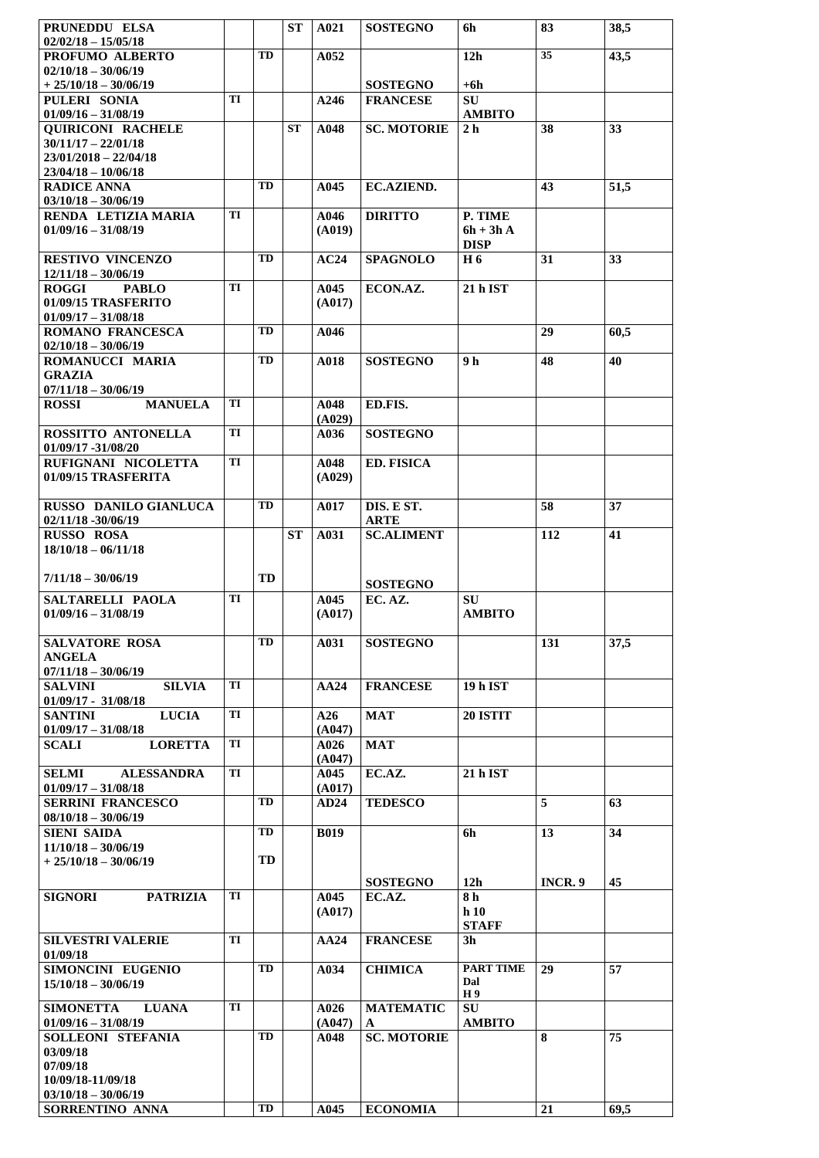| PRUNEDDU ELSA<br>$02/02/18 - 15/05/18$                    |    |           | ST        | A021           | <b>SOSTEGNO</b>                    | 6h                        | 83      | 38,5 |
|-----------------------------------------------------------|----|-----------|-----------|----------------|------------------------------------|---------------------------|---------|------|
| PROFUMO ALBERTO                                           |    | TD        |           | A052           |                                    | 12h                       | 35      | 43,5 |
| $02/10/18 - 30/06/19$                                     |    |           |           |                |                                    |                           |         |      |
| $+25/10/18-30/06/19$<br>PULERI SONIA                      | TI |           |           | A246           | <b>SOSTEGNO</b><br><b>FRANCESE</b> | +6h<br><b>SU</b>          |         |      |
| $01/09/16 - 31/08/19$                                     |    |           |           |                |                                    | <b>AMBITO</b>             |         |      |
| <b>QUIRICONI RACHELE</b>                                  |    |           | <b>ST</b> | A048           | <b>SC. MOTORIE</b>                 | 2 <sub>h</sub>            | 38      | 33   |
| $30/11/17 - 22/01/18$<br>$23/01/2018 - 22/04/18$          |    |           |           |                |                                    |                           |         |      |
| $23/04/18 - 10/06/18$                                     |    |           |           |                |                                    |                           |         |      |
| <b>RADICE ANNA</b>                                        |    | TD        |           | A045           | <b>EC.AZIEND.</b>                  |                           | 43      | 51,5 |
| $03/10/18 - 30/06/19$<br>RENDA LETIZIA MARIA              | TI |           |           | A046           | <b>DIRITTO</b>                     | P. TIME                   |         |      |
| $01/09/16 - 31/08/19$                                     |    |           |           | (A019)         |                                    | $6h + 3hA$<br><b>DISP</b> |         |      |
| <b>RESTIVO VINCENZO</b><br>$12/11/18 - 30/06/19$          |    | <b>TD</b> |           | AC24           | <b>SPAGNOLO</b>                    | H 6                       | 31      | 33   |
| <b>ROGGI</b><br><b>PABLO</b>                              | TI |           |           | A045           | ECON.AZ.                           | 21 h IST                  |         |      |
| 01/09/15 TRASFERITO<br>$01/09/17 - 31/08/18$              |    |           |           | (A017)         |                                    |                           |         |      |
| <b>ROMANO FRANCESCA</b>                                   |    | TD        |           | A046           |                                    |                           | 29      | 60,5 |
| $02/10/18 - 30/06/19$                                     |    |           |           |                |                                    |                           |         |      |
| ROMANUCCI MARIA<br><b>GRAZIA</b><br>$07/11/18 - 30/06/19$ |    | TD        |           | A018           | <b>SOSTEGNO</b>                    | 9 h                       | 48      | 40   |
| <b>MANUELA</b><br><b>ROSSI</b>                            | TI |           |           | A048<br>(A029) | ED.FIS.                            |                           |         |      |
| ROSSITTO ANTONELLA                                        | TI |           |           | A036           | <b>SOSTEGNO</b>                    |                           |         |      |
| 01/09/17 -31/08/20<br>RUFIGNANI NICOLETTA                 | TI |           |           | A048           | <b>ED. FISICA</b>                  |                           |         |      |
| 01/09/15 TRASFERITA                                       |    |           |           | (A029)         |                                    |                           |         |      |
| RUSSO DANILO GIANLUCA<br>$02/11/18 - 30/06/19$            |    | TD        |           | A017           | DIS. E ST.<br><b>ARTE</b>          |                           | 58      | 37   |
| <b>RUSSO ROSA</b>                                         |    |           | <b>ST</b> | A031           | <b>SC.ALIMENT</b>                  |                           | 112     | 41   |
| $18/10/18 - 06/11/18$                                     |    |           |           |                |                                    |                           |         |      |
| $7/11/18 - 30/06/19$                                      |    | TD        |           |                | <b>SOSTEGNO</b>                    |                           |         |      |
| SALTARELLI PAOLA                                          | TI |           |           | A045           | EC. AZ.                            | <b>SU</b>                 |         |      |
| $01/09/16 - 31/08/19$                                     |    |           |           | (A017)         |                                    | <b>AMBITO</b>             |         |      |
| <b>SALVATORE ROSA</b>                                     |    | TD        |           | A031           | <b>SOSTEGNO</b>                    |                           | 131     | 37,5 |
| <b>ANGELA</b>                                             |    |           |           |                |                                    |                           |         |      |
| $07/11/18 - 30/06/19$                                     |    |           |           |                |                                    |                           |         |      |
| <b>SILVIA</b><br><b>SALVINI</b><br>$01/09/17 - 31/08/18$  | TI |           |           | AA24           | <b>FRANCESE</b>                    | 19 h IST                  |         |      |
| <b>SANTINI</b><br><b>LUCIA</b>                            | TI |           |           | A26            | <b>MAT</b>                         | <b>20 ISTIT</b>           |         |      |
| $01/09/17 - 31/08/18$                                     |    |           |           | (A047)         |                                    |                           |         |      |
| <b>SCALI</b><br><b>LORETTA</b>                            | TI |           |           | A026<br>(A047) | <b>MAT</b>                         |                           |         |      |
| <b>SELMI</b><br><b>ALESSANDRA</b>                         | TI |           |           | A045           | EC.AZ.                             | 21 h IST                  |         |      |
| $01/09/17 - 31/08/18$                                     |    |           |           | (A017)         |                                    |                           |         |      |
| <b>SERRINI FRANCESCO</b><br>$08/10/18 - 30/06/19$         |    | TD        |           | <b>AD24</b>    | <b>TEDESCO</b>                     |                           | 5       | 63   |
| <b>SIENI SAIDA</b>                                        |    | TD        |           | <b>B019</b>    |                                    | 6h                        | 13      | 34   |
| $11/10/18 - 30/06/19$                                     |    |           |           |                |                                    |                           |         |      |
| $+25/10/18-30/06/19$                                      |    | TD        |           |                |                                    |                           |         |      |
|                                                           |    |           |           |                | <b>SOSTEGNO</b>                    | 12 <sub>h</sub>           | INCR. 9 | 45   |
| <b>SIGNORI</b><br><b>PATRIZIA</b>                         | TI |           |           | A045<br>(A017) | EC.AZ.                             | 8 h<br>h10                |         |      |
|                                                           |    |           |           |                |                                    | <b>STAFF</b>              |         |      |
| <b>SILVESTRI VALERIE</b><br>01/09/18                      | TI |           |           | AA24           | <b>FRANCESE</b>                    | 3 <sub>h</sub>            |         |      |
| SIMONCINI EUGENIO                                         |    | TD        |           | A034           | <b>CHIMICA</b>                     | <b>PART TIME</b>          | 29      | 57   |
| $15/10/18 - 30/06/19$                                     |    |           |           |                |                                    | Dal<br>H 9                |         |      |
| <b>SIMONETTA</b><br><b>LUANA</b>                          | TI |           |           | A026           | <b>MATEMATIC</b>                   | <b>SU</b>                 |         |      |
| $01/09/16 - 31/08/19$                                     |    | TD        |           | (A047)         | A                                  | <b>AMBITO</b>             |         |      |
| SOLLEONI STEFANIA<br>03/09/18                             |    |           |           | A048           | <b>SC. MOTORIE</b>                 |                           | 8       | 75   |
| 07/09/18                                                  |    |           |           |                |                                    |                           |         |      |
| 10/09/18-11/09/18                                         |    |           |           |                |                                    |                           |         |      |
| $03/10/18 - 30/06/19$<br>SORRENTINO ANNA                  |    | TD        |           | A045           | <b>ECONOMIA</b>                    |                           | 21      | 69,5 |
|                                                           |    |           |           |                |                                    |                           |         |      |